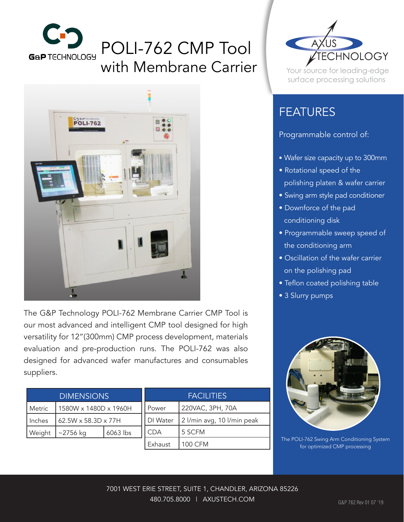

# POLI-762 CMP Tool with Membrane Carrier



The G&P Technology POLI-762 Membrane Carrier CMP Tool is our most advanced and intelligent CMP tool designed for high versatility for 12"(300mm) CMP process development, materials evaluation and pre-production runs. The POLI-762 was also designed for advanced wafer manufactures and consumables suppliers.

| <b>DIMENSIONS</b> |                       |          | <b>FACILITIES</b> |                            |
|-------------------|-----------------------|----------|-------------------|----------------------------|
| Metric            | 1580W x 1480D x 1960H |          | Power             | 220VAC, 3PH, 70A           |
| Inches            | 62.5W x 58.3D x 77H   |          | DI Water          | 2 l/min avg, 10 l/min peak |
| Weight            | $~2756$ kg            | 6063 lbs | <b>CDA</b>        | 5 SCFM                     |
|                   |                       |          | Exhaust           | 100 CFM                    |



Your source for leading-edge surface processing solutions

## FEATURES

#### Programmable control of:

- Wafer size capacity up to 300mm
- Rotational speed of the polishing platen & wafer carrier
- Swing arm style pad conditioner
- Downforce of the pad conditioning disk
- Programmable sweep speed of the conditioning arm
- Oscillation of the wafer carrier on the polishing pad
- Teflon coated polishing table
- 3 Slurry pumps



The POLI-762 Swing Arm Conditioning System for optimized CMP processing